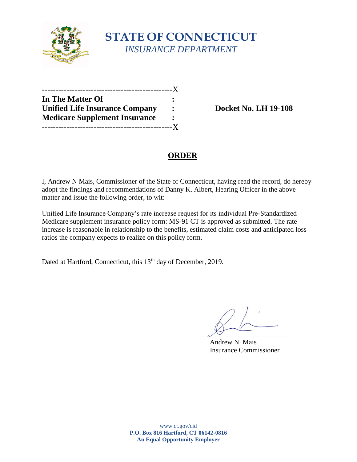

## **STATE OF CONNECTICUT** *INSURANCE DEPARTMENT*

| -------------                         |  |
|---------------------------------------|--|
| In The Matter Of                      |  |
| <b>Unified Life Insurance Company</b> |  |
| <b>Medicare Supplement Insurance</b>  |  |
|                                       |  |

**Unified Life Insurance Company : Docket No. LH 19-108**

## **ORDER**

I, Andrew N Mais, Commissioner of the State of Connecticut, having read the record, do hereby adopt the findings and recommendations of Danny K. Albert, Hearing Officer in the above matter and issue the following order, to wit:

Unified Life Insurance Company's rate increase request for its individual Pre-Standardized Medicare supplement insurance policy form: MS-91 CT is approved as submitted. The rate increase is reasonable in relationship to the benefits, estimated claim costs and anticipated loss ratios the company expects to realize on this policy form.

Dated at Hartford, Connecticut, this 13<sup>th</sup> day of December, 2019.

 $\sim$ 

 Andrew N. Mais Insurance Commissioner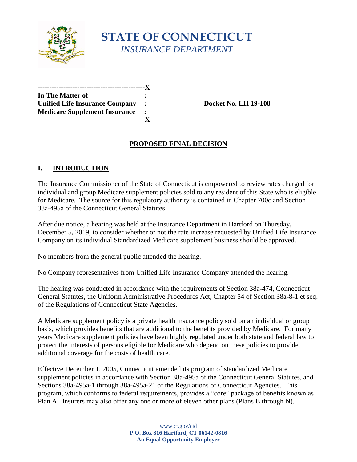

# **STATE OF CONNECTICUT** *INSURANCE DEPARTMENT*

| --------------X                       |                |
|---------------------------------------|----------------|
| In The Matter of                      |                |
| <b>Unified Life Insurance Company</b> | $\cdot$        |
| <b>Medicare Supplement Insurance</b>  | $\ddot{\cdot}$ |
|                                       | -Y             |

**Unified Life Insurance Company : Docket No. LH 19-108** 

#### **PROPOSED FINAL DECISION**

## **I. INTRODUCTION**

The Insurance Commissioner of the State of Connecticut is empowered to review rates charged for individual and group Medicare supplement policies sold to any resident of this State who is eligible for Medicare. The source for this regulatory authority is contained in Chapter 700c and Section 38a-495a of the Connecticut General Statutes.

After due notice, a hearing was held at the Insurance Department in Hartford on Thursday, December 5, 2019, to consider whether or not the rate increase requested by Unified Life Insurance Company on its individual Standardized Medicare supplement business should be approved.

No members from the general public attended the hearing.

No Company representatives from Unified Life Insurance Company attended the hearing.

The hearing was conducted in accordance with the requirements of Section 38a-474, Connecticut General Statutes, the Uniform Administrative Procedures Act, Chapter 54 of Section 38a-8-1 et seq. of the Regulations of Connecticut State Agencies.

A Medicare supplement policy is a private health insurance policy sold on an individual or group basis, which provides benefits that are additional to the benefits provided by Medicare. For many years Medicare supplement policies have been highly regulated under both state and federal law to protect the interests of persons eligible for Medicare who depend on these policies to provide additional coverage for the costs of health care.

Effective December 1, 2005, Connecticut amended its program of standardized Medicare supplement policies in accordance with Section 38a-495a of the Connecticut General Statutes, and Sections 38a-495a-1 through 38a-495a-21 of the Regulations of Connecticut Agencies. This program, which conforms to federal requirements, provides a "core" package of benefits known as Plan A. Insurers may also offer any one or more of eleven other plans (Plans B through N).

> www.ct.gov/cid **P.O. Box 816 Hartford, CT 06142-0816 An Equal Opportunity Employer**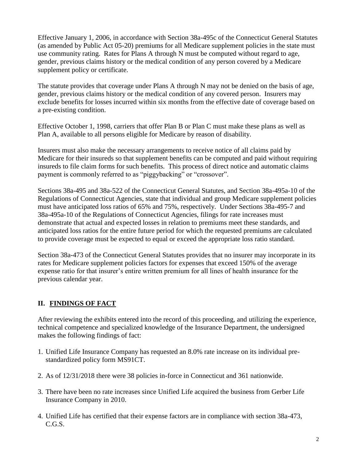Effective January 1, 2006, in accordance with Section 38a-495c of the Connecticut General Statutes (as amended by Public Act 05-20) premiums for all Medicare supplement policies in the state must use community rating. Rates for Plans A through N must be computed without regard to age, gender, previous claims history or the medical condition of any person covered by a Medicare supplement policy or certificate.

The statute provides that coverage under Plans A through N may not be denied on the basis of age, gender, previous claims history or the medical condition of any covered person. Insurers may exclude benefits for losses incurred within six months from the effective date of coverage based on a pre-existing condition.

Effective October 1, 1998, carriers that offer Plan B or Plan C must make these plans as well as Plan A, available to all persons eligible for Medicare by reason of disability.

Insurers must also make the necessary arrangements to receive notice of all claims paid by Medicare for their insureds so that supplement benefits can be computed and paid without requiring insureds to file claim forms for such benefits. This process of direct notice and automatic claims payment is commonly referred to as "piggybacking" or "crossover".

Sections 38a-495 and 38a-522 of the Connecticut General Statutes, and Section 38a-495a-10 of the Regulations of Connecticut Agencies, state that individual and group Medicare supplement policies must have anticipated loss ratios of 65% and 75%, respectively. Under Sections 38a-495-7 and 38a-495a-10 of the Regulations of Connecticut Agencies, filings for rate increases must demonstrate that actual and expected losses in relation to premiums meet these standards, and anticipated loss ratios for the entire future period for which the requested premiums are calculated to provide coverage must be expected to equal or exceed the appropriate loss ratio standard.

Section 38a-473 of the Connecticut General Statutes provides that no insurer may incorporate in its rates for Medicare supplement policies factors for expenses that exceed 150% of the average expense ratio for that insurer's entire written premium for all lines of health insurance for the previous calendar year.

#### **II. FINDINGS OF FACT**

After reviewing the exhibits entered into the record of this proceeding, and utilizing the experience, technical competence and specialized knowledge of the Insurance Department, the undersigned makes the following findings of fact:

- 1. Unified Life Insurance Company has requested an 8.0% rate increase on its individual prestandardized policy form MS91CT.
- 2. As of 12/31/2018 there were 38 policies in-force in Connecticut and 361 nationwide.
- 3. There have been no rate increases since Unified Life acquired the business from Gerber Life Insurance Company in 2010.
- 4. Unified Life has certified that their expense factors are in compliance with section 38a-473, C.G.S.